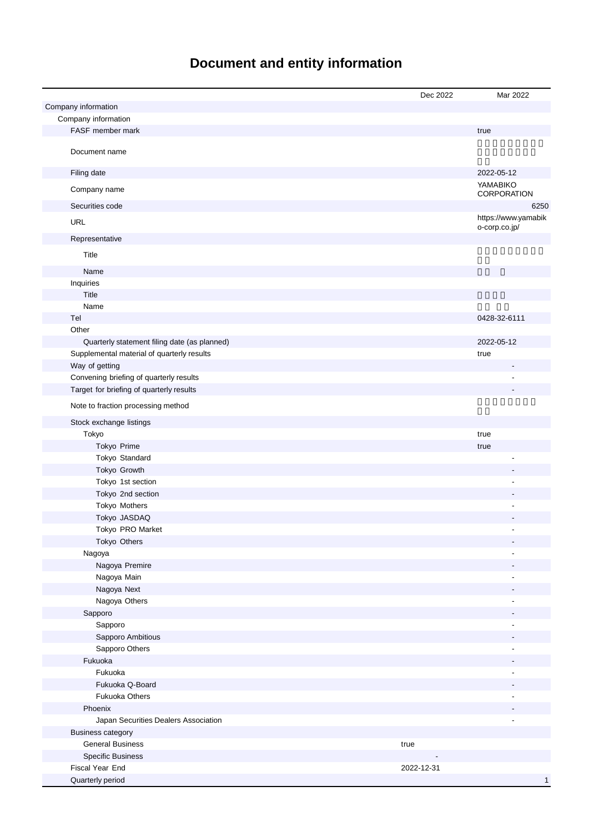# **Document and entity information**

|                                                     | Dec 2022   | Mar 2022            |
|-----------------------------------------------------|------------|---------------------|
| Company information                                 |            |                     |
| Company information                                 |            |                     |
| FASF member mark                                    |            | true                |
|                                                     |            |                     |
| Document name                                       |            |                     |
| Filing date                                         |            | 2022-05-12          |
|                                                     |            | YAMABIKO            |
| Company name                                        |            | CORPORATION         |
| Securities code                                     |            | 6250                |
| <b>URL</b>                                          |            | https://www.yamabik |
|                                                     |            | o-corp.co.jp/       |
| Representative                                      |            |                     |
| Title                                               |            |                     |
| Name                                                |            |                     |
| Inquiries                                           |            |                     |
| Title                                               |            |                     |
| Name                                                |            |                     |
| Tel                                                 |            | 0428-32-6111        |
| Other                                               |            |                     |
| Quarterly statement filing date (as planned)        |            | 2022-05-12          |
| Supplemental material of quarterly results          |            | true                |
| Way of getting                                      |            |                     |
| Convening briefing of quarterly results             |            |                     |
| Target for briefing of quarterly results            |            |                     |
| Note to fraction processing method                  |            |                     |
| Stock exchange listings                             |            |                     |
| Tokyo                                               |            | true                |
| Tokyo Prime                                         |            | true                |
| Tokyo Standard                                      |            |                     |
| Tokyo Growth                                        |            |                     |
| Tokyo 1st section                                   |            |                     |
| Tokyo 2nd section                                   |            |                     |
| Tokyo Mothers                                       |            |                     |
| Tokyo JASDAQ                                        |            |                     |
| Tokyo PRO Market                                    |            |                     |
| Tokyo Others                                        |            |                     |
| Nagoya                                              |            |                     |
| Nagoya Premire                                      |            |                     |
| Nagoya Main                                         |            |                     |
| Nagoya Next                                         |            |                     |
| Nagoya Others                                       |            |                     |
| Sapporo                                             |            |                     |
| Sapporo                                             |            |                     |
| Sapporo Ambitious                                   |            |                     |
| Sapporo Others                                      |            |                     |
| Fukuoka                                             |            |                     |
| Fukuoka                                             |            |                     |
| Fukuoka Q-Board                                     |            |                     |
| <b>Fukuoka Others</b>                               |            |                     |
| Phoenix                                             |            |                     |
| Japan Securities Dealers Association                |            |                     |
| <b>Business category</b>                            |            |                     |
| <b>General Business</b><br><b>Specific Business</b> | true       |                     |
| Fiscal Year End                                     | 2022-12-31 |                     |
| Quarterly period                                    |            | 1                   |
|                                                     |            |                     |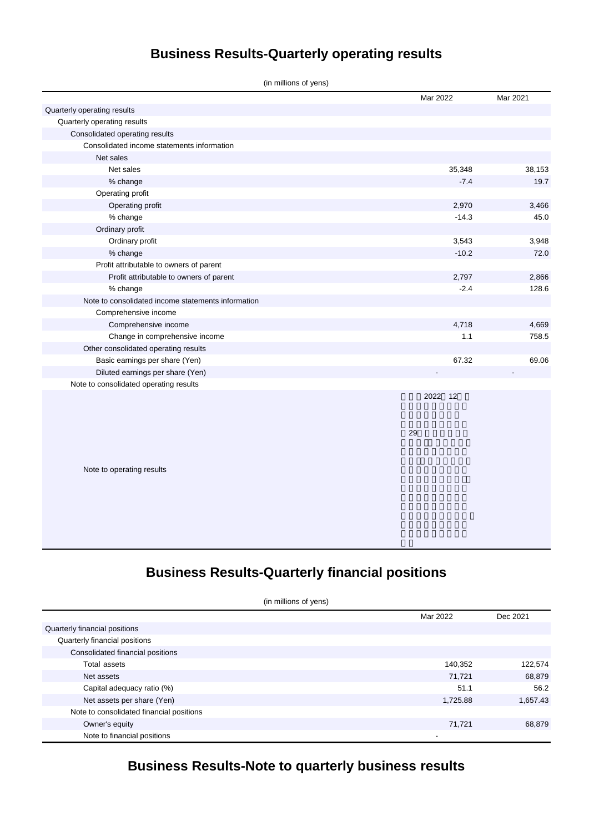# **Business Results-Quarterly operating results**

| (in millions of yens)                              |          |          |
|----------------------------------------------------|----------|----------|
|                                                    | Mar 2022 | Mar 2021 |
| Quarterly operating results                        |          |          |
| Quarterly operating results                        |          |          |
| Consolidated operating results                     |          |          |
| Consolidated income statements information         |          |          |
| Net sales                                          |          |          |
| Net sales                                          | 35,348   | 38,153   |
| % change                                           | $-7.4$   | 19.7     |
| Operating profit                                   |          |          |
| Operating profit                                   | 2,970    | 3,466    |
| % change                                           | $-14.3$  | 45.0     |
| Ordinary profit                                    |          |          |
| Ordinary profit                                    | 3,543    | 3,948    |
| % change                                           | $-10.2$  | 72.0     |
| Profit attributable to owners of parent            |          |          |
| Profit attributable to owners of parent            | 2,797    | 2,866    |
| % change                                           | $-2.4$   | 128.6    |
| Note to consolidated income statements information |          |          |
| Comprehensive income                               |          |          |
| Comprehensive income                               | 4,718    | 4,669    |
| Change in comprehensive income                     | 1.1      | 758.5    |
| Other consolidated operating results               |          |          |
| Basic earnings per share (Yen)                     | 67.32    | 69.06    |
| Diluted earnings per share (Yen)                   |          |          |
| Note to consolidated operating results             |          |          |
|                                                    | 2022 12  |          |
|                                                    | 29       |          |
| Note to operating results                          |          |          |
|                                                    |          |          |
|                                                    |          |          |
|                                                    |          |          |

# **Business Results-Quarterly financial positions**

(in millions of yens)

|                                          | Mar 2022 | Dec 2021 |
|------------------------------------------|----------|----------|
| Quarterly financial positions            |          |          |
| Quarterly financial positions            |          |          |
| Consolidated financial positions         |          |          |
| Total assets                             | 140,352  | 122,574  |
| Net assets                               | 71,721   | 68,879   |
| Capital adequacy ratio (%)               | 51.1     | 56.2     |
| Net assets per share (Yen)               | 1,725.88 | 1,657.43 |
| Note to consolidated financial positions |          |          |
| Owner's equity                           | 71,721   | 68,879   |
| Note to financial positions              |          |          |

# **Business Results-Note to quarterly business results**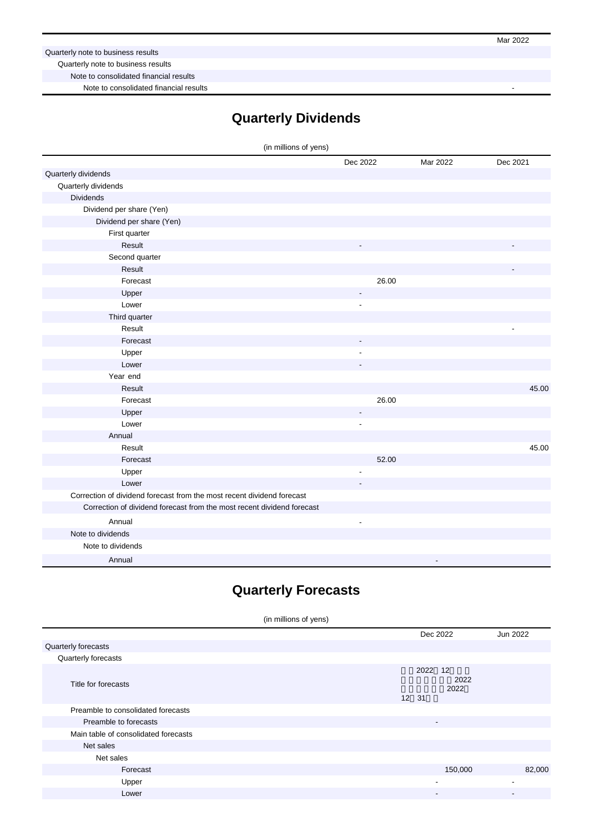Mar 2022

Quarterly note to business results

Quarterly note to business results

Note to consolidated financial results

Note to consolidated financial results

### **Quarterly Dividends**

| (in millions of yens)                                                  |                          |                |          |
|------------------------------------------------------------------------|--------------------------|----------------|----------|
|                                                                        | Dec 2022                 | Mar 2022       | Dec 2021 |
| Quarterly dividends                                                    |                          |                |          |
| Quarterly dividends                                                    |                          |                |          |
| <b>Dividends</b>                                                       |                          |                |          |
| Dividend per share (Yen)                                               |                          |                |          |
| Dividend per share (Yen)                                               |                          |                |          |
| First quarter                                                          |                          |                |          |
| Result                                                                 |                          |                |          |
| Second quarter                                                         |                          |                |          |
| Result                                                                 |                          |                |          |
| Forecast                                                               | 26.00                    |                |          |
| Upper                                                                  | $\overline{\phantom{a}}$ |                |          |
| Lower                                                                  |                          |                |          |
| Third quarter                                                          |                          |                |          |
| Result                                                                 |                          |                |          |
| Forecast                                                               |                          |                |          |
| Upper                                                                  |                          |                |          |
| Lower                                                                  |                          |                |          |
| Year end                                                               |                          |                |          |
| Result                                                                 |                          |                | 45.00    |
| Forecast                                                               | 26.00                    |                |          |
| Upper                                                                  |                          |                |          |
| Lower                                                                  | ÷,                       |                |          |
| Annual                                                                 |                          |                |          |
| Result                                                                 |                          |                | 45.00    |
| Forecast                                                               | 52.00                    |                |          |
| Upper                                                                  | ÷                        |                |          |
| Lower                                                                  |                          |                |          |
| Correction of dividend forecast from the most recent dividend forecast |                          |                |          |
| Correction of dividend forecast from the most recent dividend forecast |                          |                |          |
| Annual                                                                 | $\overline{a}$           |                |          |
| Note to dividends                                                      |                          |                |          |
| Note to dividends                                                      |                          |                |          |
| Annual                                                                 |                          | $\blacksquare$ |          |

### **Quarterly Forecasts**

#### (in millions of yens) Dec 2022 Jun 2022 Quarterly forecasts Quarterly forecasts Title for forecasts 2022 12 連結業績予想(2022 年1月1日~2022 12 31 Preamble to consolidated forecasts Preamble to forecasts Main table of consolidated forecasts Net sales Net sales Forecast 150,000 82,000 Upper - - Lower - -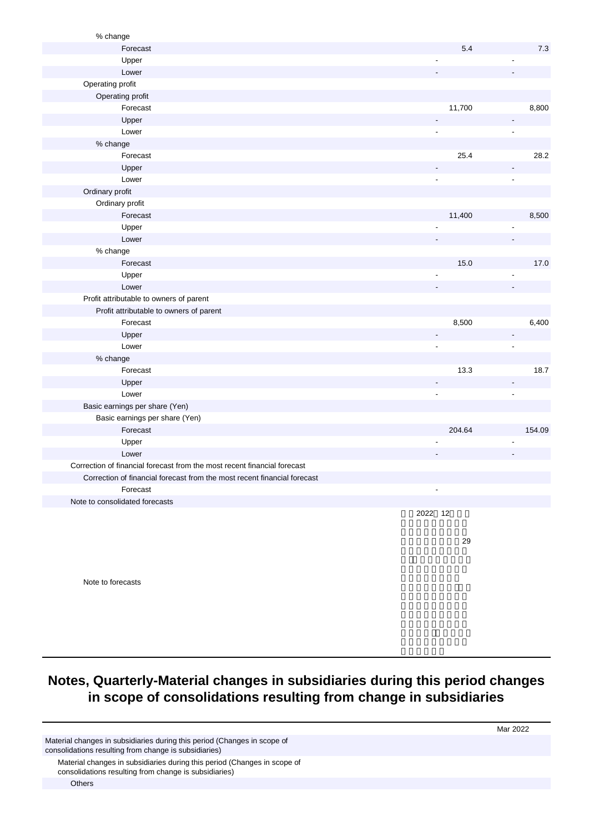| % change                                                                 |                |                          |
|--------------------------------------------------------------------------|----------------|--------------------------|
| Forecast                                                                 | 5.4            | 7.3                      |
| Upper                                                                    |                |                          |
| Lower                                                                    |                |                          |
| Operating profit                                                         |                |                          |
| Operating profit                                                         |                |                          |
| Forecast                                                                 | 11,700         | 8,800                    |
| Upper                                                                    |                |                          |
| Lower                                                                    |                |                          |
| % change                                                                 |                |                          |
| Forecast                                                                 | 25.4           | 28.2                     |
| Upper                                                                    |                |                          |
| Lower                                                                    | $\overline{a}$ | $\blacksquare$           |
| Ordinary profit                                                          |                |                          |
| Ordinary profit                                                          |                |                          |
| Forecast                                                                 | 11,400         | 8,500                    |
| Upper                                                                    |                |                          |
| Lower                                                                    |                |                          |
| % change                                                                 |                |                          |
| Forecast                                                                 | 15.0           | 17.0                     |
| Upper                                                                    |                |                          |
| Lower                                                                    |                |                          |
| Profit attributable to owners of parent                                  |                |                          |
| Profit attributable to owners of parent                                  |                |                          |
| Forecast                                                                 | 8,500          | 6,400                    |
| Upper                                                                    |                | $\overline{\phantom{a}}$ |
| Lower                                                                    | ÷,             | ÷,                       |
| % change                                                                 |                |                          |
| Forecast                                                                 | 13.3           | 18.7                     |
| Upper                                                                    |                |                          |
| Lower                                                                    | $\overline{a}$ | $\blacksquare$           |
| Basic earnings per share (Yen)                                           |                |                          |
| Basic earnings per share (Yen)                                           |                |                          |
| Forecast                                                                 | 204.64         | 154.09                   |
| Upper                                                                    |                |                          |
| Lower                                                                    |                |                          |
| Correction of financial forecast from the most recent financial forecast |                |                          |
| Correction of financial forecast from the most recent financial forecast |                |                          |
| Forecast                                                                 |                |                          |
| Note to consolidated forecasts                                           |                |                          |
|                                                                          | 2022 12        |                          |
|                                                                          |                |                          |

29

Note to forecasts

# **Notes, Quarterly-Material changes in subsidiaries during this period changes in scope of consolidations resulting from change in subsidiaries**

Material changes in subsidiaries during this period (Changes in scope of consolidations resulting from change is subsidiaries)

Material changes in subsidiaries during this period (Changes in scope of consolidations resulting from change is subsidiaries)

Mar 2022